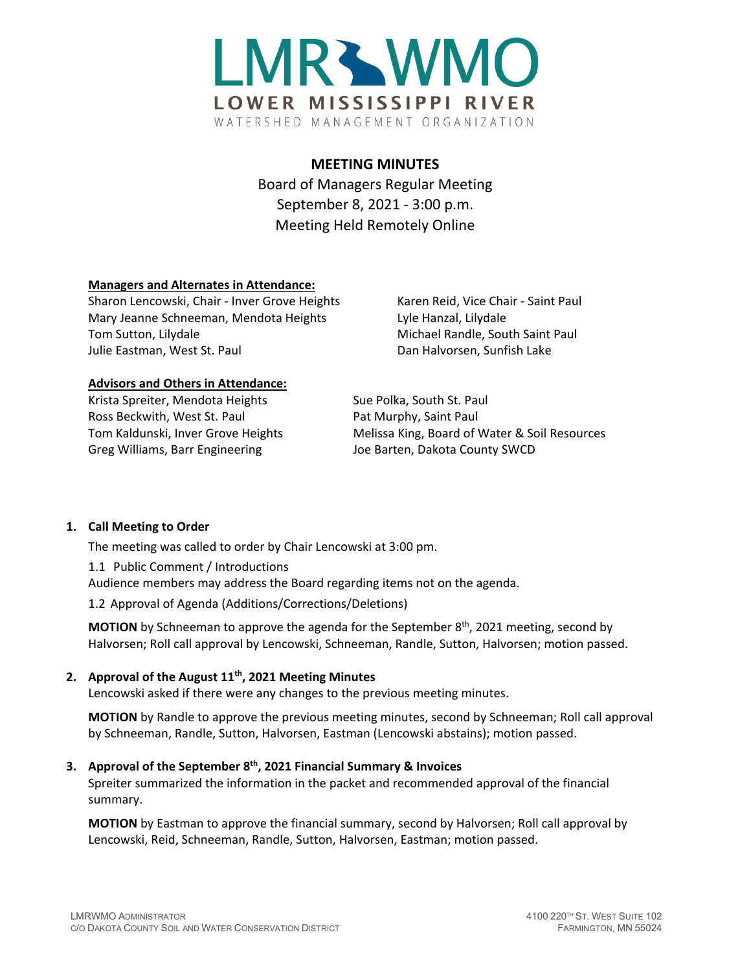

# **MEETING MINUTES**

Board of Managers Regular Meeting September 8, 2021 - 3:00 p.m. Meeting Held Remotely Online

## **Managers and Alternates in Attendance:**

Sharon Lencowski, Chair - Inver Grove Heights Karen Reid, Vice Chair - Saint Paul Mary Jeanne Schneeman, Mendota Heights Lyle Hanzal, Lilydale Tom Sutton, Lilydale Michael Randle, South Saint Paul Julie Eastman, West St. Paul Dan Halvorsen, Sunfish Lake

#### **Advisors and Others in Attendance:**

Krista Spreiter, Mendota Heights Sue Polka, South St. Paul Ross Beckwith, West St. Paul Pat Murphy, Saint Paul Greg Williams, Barr Engineering The Staten, Dakota County SWCD

Tom Kaldunski, Inver Grove Heights Melissa King, Board of Water & Soil Resources

#### **1. Call Meeting to Order**

The meeting was called to order by Chair Lencowski at 3:00 pm.

1.1 Public Comment / Introductions Audience members may address the Board regarding items not on the agenda.

1.2 Approval of Agenda (Additions/Corrections/Deletions)

**MOTION** by Schneeman to approve the agenda for the September 8<sup>th</sup>, 2021 meeting, second by Halvorsen; Roll call approval by Lencowski, Schneeman, Randle, Sutton, Halvorsen; motion passed.

#### **2. Approval of the August 11th, 2021 Meeting Minutes**

Lencowski asked if there were any changes to the previous meeting minutes.

**MOTION** by Randle to approve the previous meeting minutes, second by Schneeman; Roll call approval by Schneeman, Randle, Sutton, Halvorsen, Eastman (Lencowski abstains); motion passed.

## **3. Approval of the September 8th, 2021 Financial Summary & Invoices**

Spreiter summarized the information in the packet and recommended approval of the financial summary.

**MOTION** by Eastman to approve the financial summary, second by Halvorsen; Roll call approval by Lencowski, Reid, Schneeman, Randle, Sutton, Halvorsen, Eastman; motion passed.